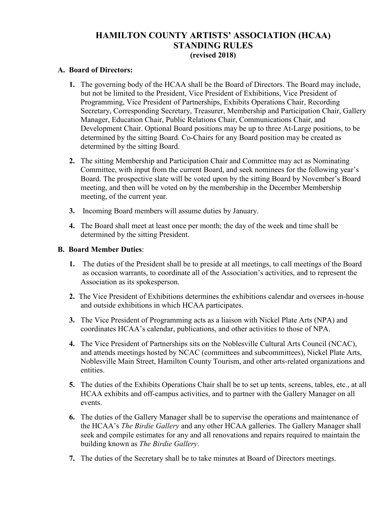# **HAMILTON COUNTY ARTISTS' ASSOCIATION (HCAA) STANDING RULES (revised 2018)**

#### **A. Board of Directors:**

- **1.** The governing body of the HCAA shall be the Board of Directors. The Board may include, but not be limited to the President, Vice President of Exhibitions, Vice President of Programming, Vice President of Partnerships, Exhibits Operations Chair, Recording Secretary, Corresponding Secretary, Treasurer, Membership and Participation Chair, Gallery Manager, Education Chair, Public Relations Chair, Communications Chair, and Development Chair. Optional Board positions may be up to three At-Large positions, to be determined by the sitting Board. Co-Chairs for any Board position may be created as determined by the sitting Board.
- **2.** The sitting Membership and Participation Chair and Committee may act as Nominating Committee, with input from the current Board, and seek nominees for the following year's Board. The prospective slate will be voted upon by the sitting Board by November's Board meeting, and then will be voted on by the membership in the December Membership meeting, of the current year.
- **3.** Incoming Board members will assume duties by January.
- **4.** The Board shall meet at least once per month; the day of the week and time shall be determined by the sitting President.

### **B. Board Member Duties**:

- **1.** The duties of the President shall be to preside at all meetings, to call meetings of the Board as occasion warrants, to coordinate all of the Association's activities, and to represent the Association as its spokesperson.
- **2.** The Vice President of Exhibitions determines the exhibitions calendar and oversees in-house and outside exhibitions in which HCAA participates.
- **3.** The Vice President of Programming acts as a liaison with Nickel Plate Arts (NPA) and coordinates HCAA's calendar, publications, and other activities to those of NPA.
- **4.** The Vice President of Partnerships sits on the Noblesville Cultural Arts Council (NCAC), and attends meetings hosted by NCAC (committees and subcommittees), Nickel Plate Arts, Noblesville Main Street, Hamilton County Tourism, and other arts-related organizations and entities.
- **5.** The duties of the Exhibits Operations Chair shall be to set up tents, screens, tables, etc., at all HCAA exhibits and off-campus activities, and to partner with the Gallery Manager on all events.
- **6.** The duties of the Gallery Manager shall be to supervise the operations and maintenance of the HCAA's *The Birdie Gallery* and any other HCAA galleries. The Gallery Manager shall seek and compile estimates for any and all renovations and repairs required to maintain the building known as *The Birdie Gallery*.
- **7.** The duties of the Secretary shall be to take minutes at Board of Directors meetings.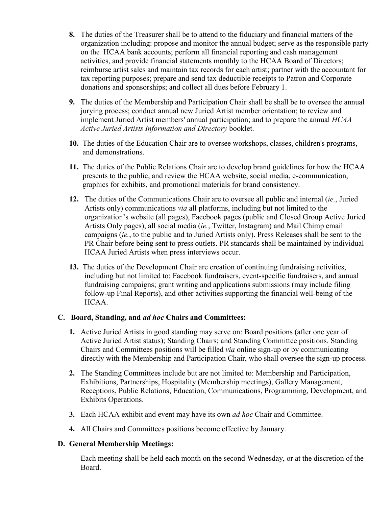- **8.** The duties of the Treasurer shall be to attend to the fiduciary and financial matters of the organization including: propose and monitor the annual budget; serve as the responsible party on the HCAA bank accounts; perform all financial reporting and cash management activities, and provide financial statements monthly to the HCAA Board of Directors; reimburse artist sales and maintain tax records for each artist; partner with the accountant for tax reporting purposes; prepare and send tax deductible receipts to Patron and Corporate donations and sponsorships; and collect all dues before February 1.
- **9.** The duties of the Membership and Participation Chair shall be shall be to oversee the annual jurying process; conduct annual new Juried Artist member orientation; to review and implement Juried Artist members' annual participation; and to prepare the annual *HCAA Active Juried Artists Information and Directory* booklet.
- **10.** The duties of the Education Chair are to oversee workshops, classes, children's programs, and demonstrations.
- **11.** The duties of the Public Relations Chair are to develop brand guidelines for how the HCAA presents to the public, and review the HCAA website, social media, e-communication, graphics for exhibits, and promotional materials for brand consistency.
- **12.** The duties of the Communications Chair are to oversee all public and internal (*ie.*, Juried Artists only) communications *via* all platforms, including but not limited to the organization's website (all pages), Facebook pages (public and Closed Group Active Juried Artists Only pages), all social media (*ie.*, Twitter, Instagram) and Mail Chimp email campaigns (*ie.*, to the public and to Juried Artists only). Press Releases shall be sent to the PR Chair before being sent to press outlets. PR standards shall be maintained by individual HCAA Juried Artists when press interviews occur.
- **13.** The duties of the Development Chair are creation of continuing fundraising activities, including but not limited to: Facebook fundraisers, event-specific fundraisers, and annual fundraising campaigns; grant writing and applications submissions (may include filing follow-up Final Reports), and other activities supporting the financial well-being of the HCAA.

# **C. Board, Standing, and** *ad hoc* **Chairs and Committees:**

- **1.** Active Juried Artists in good standing may serve on: Board positions (after one year of Active Juried Artist status); Standing Chairs; and Standing Committee positions. Standing Chairs and Committees positions will be filled *via* online sign-up or by communicating directly with the Membership and Participation Chair, who shall oversee the sign-up process.
- **2.** The Standing Committees include but are not limited to: Membership and Participation, Exhibitions, Partnerships, Hospitality (Membership meetings), Gallery Management, Receptions, Public Relations, Education, Communications, Programming, Development, and Exhibits Operations.
- **3.** Each HCAA exhibit and event may have its own *ad hoc* Chair and Committee.
- **4.** All Chairs and Committees positions become effective by January.

# **D. General Membership Meetings:**

Each meeting shall be held each month on the second Wednesday, or at the discretion of the Board.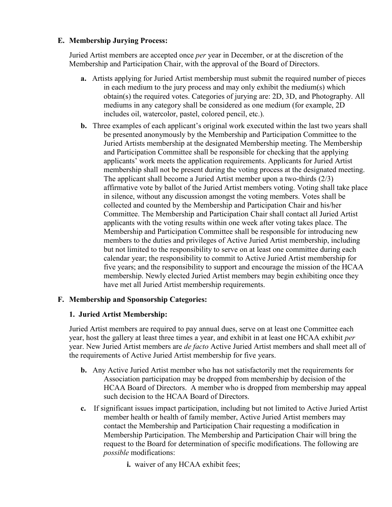# **E. Membership Jurying Process:**

Juried Artist members are accepted once *per* year in December, or at the discretion of the Membership and Participation Chair, with the approval of the Board of Directors.

- **a.** Artists applying for Juried Artist membership must submit the required number of pieces in each medium to the jury process and may only exhibit the medium(s) which obtain(s) the required votes. Categories of jurying are: 2D, 3D, and Photography. All mediums in any category shall be considered as one medium (for example, 2D includes oil, watercolor, pastel, colored pencil, etc.).
- **b.** Three examples of each applicant's original work executed within the last two years shall be presented anonymously by the Membership and Participation Committee to the Juried Artists membership at the designated Membership meeting. The Membership and Participation Committee shall be responsible for checking that the applying applicants' work meets the application requirements. Applicants for Juried Artist membership shall not be present during the voting process at the designated meeting. The applicant shall become a Juried Artist member upon a two-thirds (2/3) affirmative vote by ballot of the Juried Artist members voting. Voting shall take place in silence, without any discussion amongst the voting members. Votes shall be collected and counted by the Membership and Participation Chair and his/her Committee. The Membership and Participation Chair shall contact all Juried Artist applicants with the voting results within one week after voting takes place. The Membership and Participation Committee shall be responsible for introducing new members to the duties and privileges of Active Juried Artist membership, including but not limited to the responsibility to serve on at least one committee during each calendar year; the responsibility to commit to Active Juried Artist membership for five years; and the responsibility to support and encourage the mission of the HCAA membership. Newly elected Juried Artist members may begin exhibiting once they have met all Juried Artist membership requirements.

# **F. Membership and Sponsorship Categories:**

# **1. Juried Artist Membership:**

Juried Artist members are required to pay annual dues, serve on at least one Committee each year, host the gallery at least three times a year, and exhibit in at least one HCAA exhibit *per* year. New Juried Artist members are *de facto* Active Juried Artist members and shall meet all of the requirements of Active Juried Artist membership for five years.

- **b.** Any Active Juried Artist member who has not satisfactorily met the requirements for Association participation may be dropped from membership by decision of the HCAA Board of Directors. A member who is dropped from membership may appeal such decision to the HCAA Board of Directors.
- **c.** If significant issues impact participation, including but not limited to Active Juried Artist member health or health of family member, Active Juried Artist members may contact the Membership and Participation Chair requesting a modification in Membership Participation. The Membership and Participation Chair will bring the request to the Board for determination of specific modifications. The following are *possible* modifications:
	- **i.** waiver of any HCAA exhibit fees;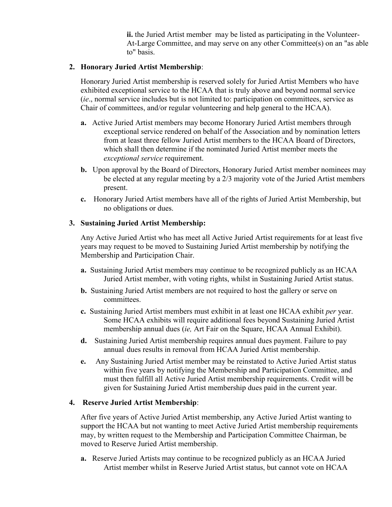**ii.** the Juried Artist member may be listed as participating in the Volunteer-At-Large Committee, and may serve on any other Committee(s) on an "as able to" basis.

### **2. Honorary Juried Artist Membership**:

Honorary Juried Artist membership is reserved solely for Juried Artist Members who have exhibited exceptional service to the HCAA that is truly above and beyond normal service (*ie*., normal service includes but is not limited to: participation on committees, service as Chair of committees, and/or regular volunteering and help general to the HCAA).

- **a.** Active Juried Artist members may become Honorary Juried Artist members through exceptional service rendered on behalf of the Association and by nomination letters from at least three fellow Juried Artist members to the HCAA Board of Directors, which shall then determine if the nominated Juried Artist member meets the *exceptional service* requirement.
- **b.** Upon approval by the Board of Directors, Honorary Juried Artist member nominees may be elected at any regular meeting by a 2/3 majority vote of the Juried Artist members present.
- **c.** Honorary Juried Artist members have all of the rights of Juried Artist Membership, but no obligations or dues.

### **3. Sustaining Juried Artist Membership:**

Any Active Juried Artist who has meet all Active Juried Artist requirements for at least five years may request to be moved to Sustaining Juried Artist membership by notifying the Membership and Participation Chair.

- **a.** Sustaining Juried Artist members may continue to be recognized publicly as an HCAA Juried Artist member, with voting rights, whilst in Sustaining Juried Artist status.
- **b.** Sustaining Juried Artist members are not required to host the gallery or serve on committees.
- **c.** Sustaining Juried Artist members must exhibit in at least one HCAA exhibit *per* year. Some HCAA exhibits will require additional fees beyond Sustaining Juried Artist membership annual dues (*ie,* Art Fair on the Square, HCAA Annual Exhibit).
- **d.** Sustaining Juried Artist membership requires annual dues payment. Failure to pay annual dues results in removal from HCAA Juried Artist membership.
- **e.** Any Sustaining Juried Artist member may be reinstated to Active Juried Artist status within five years by notifying the Membership and Participation Committee, and must then fulfill all Active Juried Artist membership requirements. Credit will be given for Sustaining Juried Artist membership dues paid in the current year.

#### **4. Reserve Juried Artist Membership**:

After five years of Active Juried Artist membership, any Active Juried Artist wanting to support the HCAA but not wanting to meet Active Juried Artist membership requirements may, by written request to the Membership and Participation Committee Chairman, be moved to Reserve Juried Artist membership.

**a.** Reserve Juried Artists may continue to be recognized publicly as an HCAA Juried Artist member whilst in Reserve Juried Artist status, but cannot vote on HCAA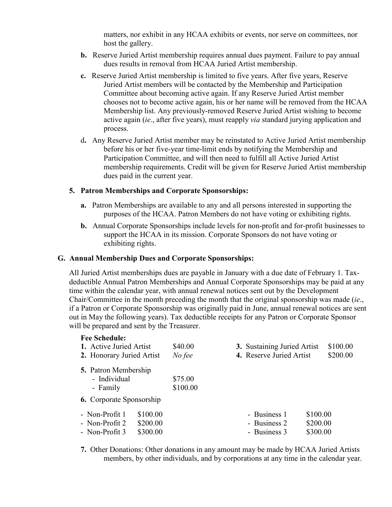matters, nor exhibit in any HCAA exhibits or events, nor serve on committees, nor host the gallery.

- **b.** Reserve Juried Artist membership requires annual dues payment. Failure to pay annual dues results in removal from HCAA Juried Artist membership.
- **c.** Reserve Juried Artist membership is limited to five years. After five years, Reserve Juried Artist members will be contacted by the Membership and Participation Committee about becoming active again. If any Reserve Juried Artist member chooses not to become active again, his or her name will be removed from the HCAA Membership list. Any previously-removed Reserve Juried Artist wishing to become active again (*ie*., after five years), must reapply *via* standard jurying application and process.
- d**.** Any Reserve Juried Artist member may be reinstated to Active Juried Artist membership before his or her five-year time-limit ends by notifying the Membership and Participation Committee, and will then need to fulfill all Active Juried Artist membership requirements. Credit will be given for Reserve Juried Artist membership dues paid in the current year.

### **5. Patron Memberships and Corporate Sponsorships:**

- **a.** Patron Memberships are available to any and all persons interested in supporting the purposes of the HCAA. Patron Members do not have voting or exhibiting rights.
- **b.** Annual Corporate Sponsorships include levels for non-profit and for-profit businesses to support the HCAA in its mission. Corporate Sponsors do not have voting or exhibiting rights.

#### **G. Annual Membership Dues and Corporate Sponsorships:**

All Juried Artist memberships dues are payable in January with a due date of February 1. Taxdeductible Annual Patron Memberships and Annual Corporate Sponsorships may be paid at any time within the calendar year, with annual renewal notices sent out by the Development Chair/Committee in the month preceding the month that the original sponsorship was made (*ie*., if a Patron or Corporate Sponsorship was originally paid in June, annual renewal notices are sent out in May the following years). Tax deductible receipts for any Patron or Corporate Sponsor will be prepared and sent by the Treasurer.

| <b>Fee Schedule:</b><br>1. Active Juried Artist<br>2. Honorary Juried Artist | \$40.00<br>No fee   | 3. Sustaining Juried Artist<br>4. Reserve Juried Artist |          | \$100.00<br>\$200.00 |
|------------------------------------------------------------------------------|---------------------|---------------------------------------------------------|----------|----------------------|
| <b>5.</b> Patron Membership<br>- Individual<br>- Family                      | \$75.00<br>\$100.00 |                                                         |          |                      |
| <b>6.</b> Corporate Sponsorship                                              |                     |                                                         |          |                      |
| - Non-Profit 1                                                               | \$100.00            | - Business 1                                            | \$100.00 |                      |
| - Non-Profit 2                                                               | \$200.00            | - Business 2                                            | \$200.00 |                      |
| - Non-Profit 3                                                               | \$300.00            | - Business 3                                            | \$300.00 |                      |

**7.** Other Donations: Other donations in any amount may be made by HCAA Juried Artists members, by other individuals, and by corporations at any time in the calendar year.